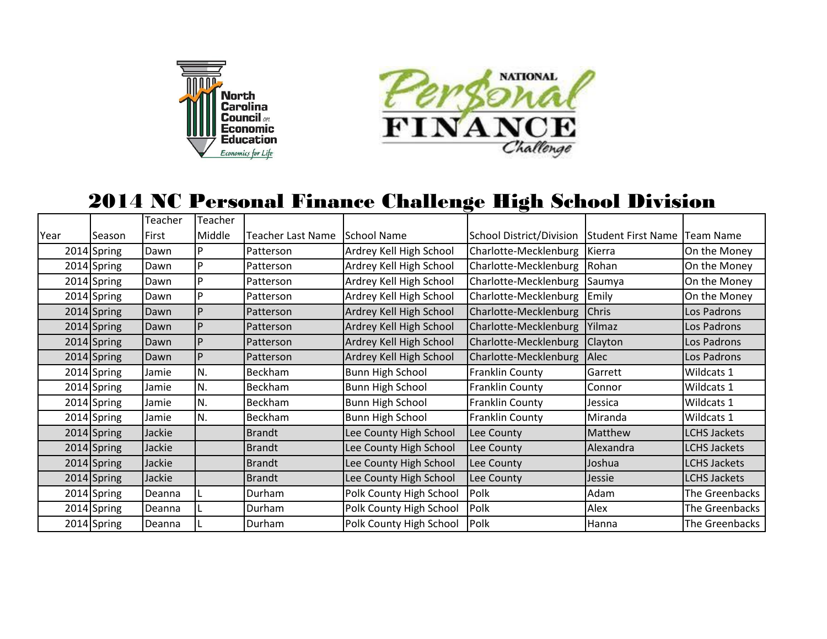



## 2014 NC Personal Finance Challenge High School Division

|      |             | Teacher | Teacher      |                   |                         |                          |                                |                     |
|------|-------------|---------|--------------|-------------------|-------------------------|--------------------------|--------------------------------|---------------------|
| Year | Season      | First   | Middle       | Teacher Last Name | School Name             | School District/Division | Student First Name   Team Name |                     |
|      | 2014 Spring | Dawn    | P            | Patterson         | Ardrey Kell High School | Charlotte-Mecklenburg    | Kierra                         | On the Money        |
|      | 2014 Spring | Dawn    | P            | Patterson         | Ardrey Kell High School | Charlotte-Mecklenburg    | Rohan                          | On the Money        |
|      | 2014 Spring | Dawn    | P            | Patterson         | Ardrey Kell High School | Charlotte-Mecklenburg    | Saumya                         | On the Money        |
|      | 2014 Spring | Dawn    | P            | Patterson         | Ardrey Kell High School | Charlotte-Mecklenburg    | Emily                          | On the Money        |
|      | 2014 Spring | Dawn    | P            | Patterson         | Ardrey Kell High School | Charlotte-Mecklenburg    | <b>Chris</b>                   | Los Padrons         |
|      | 2014 Spring | Dawn    | $\mathsf{P}$ | Patterson         | Ardrey Kell High School | Charlotte-Mecklenburg    | Yilmaz                         | Los Padrons         |
|      | 2014 Spring | Dawn    | P            | Patterson         | Ardrey Kell High School | Charlotte-Mecklenburg    | Clayton                        | Los Padrons         |
|      | 2014 Spring | Dawn    | P            | Patterson         | Ardrey Kell High School | Charlotte-Mecklenburg    | <b>Alec</b>                    | Los Padrons         |
|      | 2014 Spring | Jamie   | N.           | Beckham           | <b>Bunn High School</b> | Franklin County          | Garrett                        | Wildcats 1          |
|      | 2014 Spring | Jamie   | N.           | Beckham           | <b>Bunn High School</b> | <b>Franklin County</b>   | Connor                         | Wildcats 1          |
|      | 2014 Spring | Jamie   | N.           | Beckham           | <b>Bunn High School</b> | <b>Franklin County</b>   | Jessica                        | Wildcats 1          |
|      | 2014 Spring | Jamie   | N.           | Beckham           | <b>Bunn High School</b> | <b>Franklin County</b>   | Miranda                        | Wildcats 1          |
|      | 2014 Spring | Jackie  |              | <b>Brandt</b>     | Lee County High School  | Lee County               | Matthew                        | <b>LCHS Jackets</b> |
|      | 2014 Spring | Jackie  |              | <b>Brandt</b>     | Lee County High School  | Lee County               | Alexandra                      | <b>LCHS Jackets</b> |
|      | 2014 Spring | Jackie  |              | <b>Brandt</b>     | Lee County High School  | Lee County               | Joshua                         | <b>LCHS Jackets</b> |
|      | 2014 Spring | Jackie  |              | <b>Brandt</b>     | Lee County High School  | Lee County               | Jessie                         | <b>LCHS Jackets</b> |
|      | 2014 Spring | Deanna  |              | Durham            | Polk County High School | Polk                     | Adam                           | The Greenbacks      |
|      | 2014 Spring | Deanna  |              | Durham            | Polk County High School | Polk                     | Alex                           | The Greenbacks      |
|      | 2014 Spring | Deanna  |              | Durham            | Polk County High School | Polk                     | Hanna                          | The Greenbacks      |